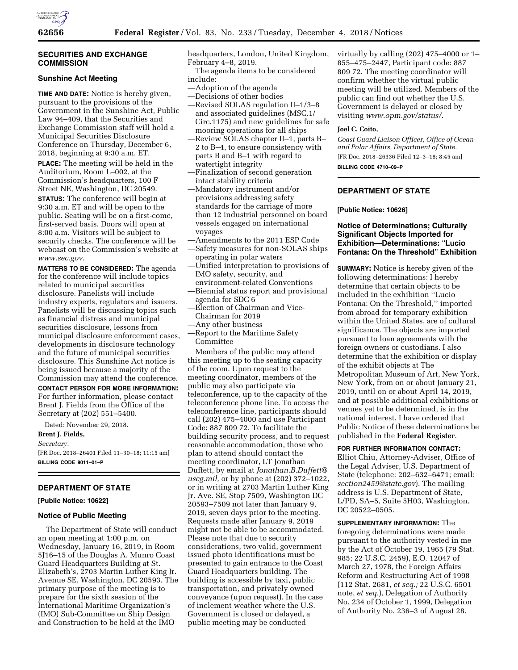

### **SECURITIES AND EXCHANGE COMMISSION**

# **Sunshine Act Meeting**

**TIME AND DATE:** Notice is hereby given, pursuant to the provisions of the Government in the Sunshine Act, Public Law 94–409, that the Securities and Exchange Commission staff will hold a Municipal Securities Disclosure Conference on Thursday, December 6, 2018, beginning at 9:30 a.m. ET.

**PLACE:** The meeting will be held in the Auditorium, Room L–002, at the Commission's headquarters, 100 F Street NE, Washington, DC 20549.

**STATUS:** The conference will begin at 9:30 a.m. ET and will be open to the public. Seating will be on a first-come, first-served basis. Doors will open at 8:00 a.m. Visitors will be subject to security checks. The conference will be webcast on the Commission's website at *[www.sec.gov.](http://www.sec.gov)* 

**MATTERS TO BE CONSIDERED:** The agenda for the conference will include topics related to municipal securities disclosure. Panelists will include industry experts, regulators and issuers. Panelists will be discussing topics such as financial distress and municipal securities disclosure, lessons from municipal disclosure enforcement cases, developments in disclosure technology and the future of municipal securities disclosure. This Sunshine Act notice is being issued because a majority of the Commission may attend the conference.

**CONTACT PERSON FOR MORE INFORMATION:**  For further information, please contact Brent J. Fields from the Office of the Secretary at (202) 551–5400.

Dated: November 29, 2018.

**Brent J. Fields,**  *Secretary.*  [FR Doc. 2018–26401 Filed 11–30–18; 11:15 am] **BILLING CODE 8011–01–P** 

# **DEPARTMENT OF STATE**

**[Public Notice: 10622]** 

## **Notice of Public Meeting**

The Department of State will conduct an open meeting at 1:00 p.m. on Wednesday, January 16, 2019, in Room 5J16–15 of the Douglas A. Munro Coast Guard Headquarters Building at St. Elizabeth's, 2703 Martin Luther King Jr. Avenue SE, Washington, DC 20593. The primary purpose of the meeting is to prepare for the sixth session of the International Maritime Organization's (IMO) Sub-Committee on Ship Design and Construction to be held at the IMO

headquarters, London, United Kingdom, February 4–8, 2019.

The agenda items to be considered include:

- —Adoption of the agenda
- —Decisions of other bodies
- —Revised SOLAS regulation II–1/3–8 and associated guidelines (MSC.1/ Circ.1175) and new guidelines for safe mooring operations for all ships
- —Review SOLAS chapter II–1, parts B– 2 to B–4, to ensure consistency with parts B and B–1 with regard to watertight integrity
- —Finalization of second generation intact stability criteria
- —Mandatory instrument and/or provisions addressing safety standards for the carriage of more than 12 industrial personnel on board vessels engaged on international voyages
- —Amendments to the 2011 ESP Code
- —Safety measures for non-SOLAS ships operating in polar waters
- —Unified interpretation to provisions of IMO safety, security, and environment-related Conventions
- —Biennial status report and provisional agenda for SDC 6
- —Election of Chairman and Vice-Chairman for 2019
- —Any other business
- —Report to the Maritime Safety Committee

Members of the public may attend this meeting up to the seating capacity of the room. Upon request to the meeting coordinator, members of the public may also participate via teleconference, up to the capacity of the teleconference phone line. To access the teleconference line, participants should call (202) 475–4000 and use Participant Code: 887 809 72. To facilitate the building security process, and to request reasonable accommodation, those who plan to attend should contact the meeting coordinator, LT Jonathan Duffett, by email at *[Jonathan.B.Duffett@](mailto:Jonathan.B.Duffett@uscg.mil) [uscg.mil,](mailto:Jonathan.B.Duffett@uscg.mil)* or by phone at (202) 372–1022, or in writing at 2703 Martin Luther King Jr. Ave. SE, Stop 7509, Washington DC 20593–7509 not later than January 9, 2019, seven days prior to the meeting. Requests made after January 9, 2019 might not be able to be accommodated. Please note that due to security considerations, two valid, government issued photo identifications must be presented to gain entrance to the Coast Guard Headquarters building. The building is accessible by taxi, public transportation, and privately owned conveyance (upon request). In the case of inclement weather where the U.S. Government is closed or delayed, a public meeting may be conducted

virtually by calling (202) 475–4000 or 1– 855–475–2447, Participant code: 887 809 72. The meeting coordinator will confirm whether the virtual public meeting will be utilized. Members of the public can find out whether the U.S. Government is delayed or closed by visiting *[www.opm.gov/status/](http://www.opm.gov/status/)*.

### **Joel C. Coito,**

*Coast Guard Liaison Officer, Office of Ocean and Polar Affairs, Department of State.*  [FR Doc. 2018–26336 Filed 12–3–18; 8:45 am]

**BILLING CODE 4710–09–P** 

## **DEPARTMENT OF STATE**

**[Public Notice: 10626]** 

## **Notice of Determinations; Culturally Significant Objects Imported for Exhibition—Determinations:** ''**Lucio Fontana: On the Threshold**'' **Exhibition**

**SUMMARY:** Notice is hereby given of the following determinations: I hereby determine that certain objects to be included in the exhibition ''Lucio Fontana: On the Threshold,'' imported from abroad for temporary exhibition within the United States, are of cultural significance. The objects are imported pursuant to loan agreements with the foreign owners or custodians. I also determine that the exhibition or display of the exhibit objects at The Metropolitan Museum of Art, New York, New York, from on or about January 21, 2019, until on or about April 14, 2019, and at possible additional exhibitions or venues yet to be determined, is in the national interest. I have ordered that Public Notice of these determinations be published in the **Federal Register**.

### **FOR FURTHER INFORMATION CONTACT:**

Elliot Chiu, Attorney-Adviser, Office of the Legal Adviser, U.S. Department of State (telephone: 202–632–6471; email: *[section2459@state.gov](mailto:section2459@state.gov)*). The mailing address is U.S. Department of State, L/PD, SA–5, Suite 5H03, Washington, DC 20522–0505.

**SUPPLEMENTARY INFORMATION:** The foregoing determinations were made pursuant to the authority vested in me by the Act of October 19, 1965 (79 Stat. 985; 22 U.S.C. 2459), E.O. 12047 of March 27, 1978, the Foreign Affairs Reform and Restructuring Act of 1998 (112 Stat. 2681, *et seq.;* 22 U.S.C. 6501 note, *et seq.*), Delegation of Authority No. 234 of October 1, 1999, Delegation of Authority No. 236–3 of August 28,